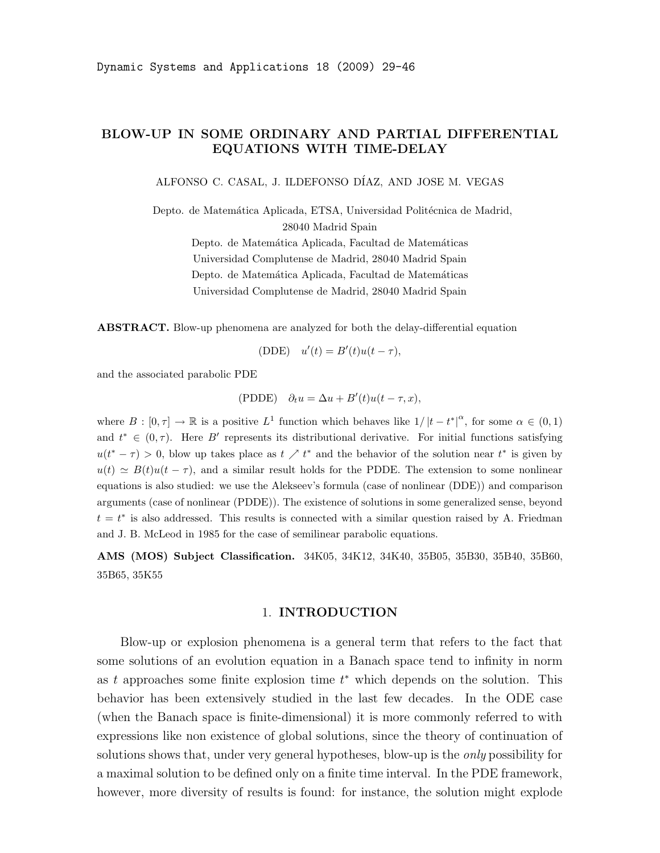# BLOW-UP IN SOME ORDINARY AND PARTIAL DIFFERENTIAL EQUATIONS WITH TIME-DELAY

ALFONSO C. CASAL, J. ILDEFONSO D´IAZ, AND JOSE M. VEGAS

Depto. de Matemática Aplicada, ETSA, Universidad Politécnica de Madrid, 28040 Madrid Spain

> Depto. de Matemática Aplicada, Facultad de Matemáticas Universidad Complutense de Madrid, 28040 Madrid Spain Depto. de Matemática Aplicada, Facultad de Matemáticas Universidad Complutense de Madrid, 28040 Madrid Spain

ABSTRACT. Blow-up phenomena are analyzed for both the delay-differential equation

(DDE) 
$$
u'(t) = B'(t)u(t - \tau),
$$

and the associated parabolic PDE

(PDDE)  $\partial_t u = \Delta u + B'(t)u(t-\tau, x),$ 

where  $B : [0, \tau] \to \mathbb{R}$  is a positive  $L^1$  function which behaves like  $1/|t-t^*|^{\alpha}$ , for some  $\alpha \in (0,1)$ and  $t^* \in (0, \tau)$ . Here B' represents its distributional derivative. For initial functions satisfying  $u(t^* - \tau) > 0$ , blow up takes place as  $t \nearrow t^*$  and the behavior of the solution near  $t^*$  is given by  $u(t) \simeq B(t)u(t-\tau)$ , and a similar result holds for the PDDE. The extension to some nonlinear equations is also studied: we use the Alekseev's formula (case of nonlinear (DDE)) and comparison arguments (case of nonlinear (PDDE)). The existence of solutions in some generalized sense, beyond  $t = t^*$  is also addressed. This results is connected with a similar question raised by A. Friedman and J. B. McLeod in 1985 for the case of semilinear parabolic equations.

AMS (MOS) Subject Classification. 34K05, 34K12, 34K40, 35B05, 35B30, 35B40, 35B60, 35B65, 35K55

## 1. INTRODUCTION

Blow-up or explosion phenomena is a general term that refers to the fact that some solutions of an evolution equation in a Banach space tend to infinity in norm as t approaches some finite explosion time  $t^*$  which depends on the solution. This behavior has been extensively studied in the last few decades. In the ODE case (when the Banach space is finite-dimensional) it is more commonly referred to with expressions like non existence of global solutions, since the theory of continuation of solutions shows that, under very general hypotheses, blow-up is the *only* possibility for a maximal solution to be defined only on a finite time interval. In the PDE framework, however, more diversity of results is found: for instance, the solution might explode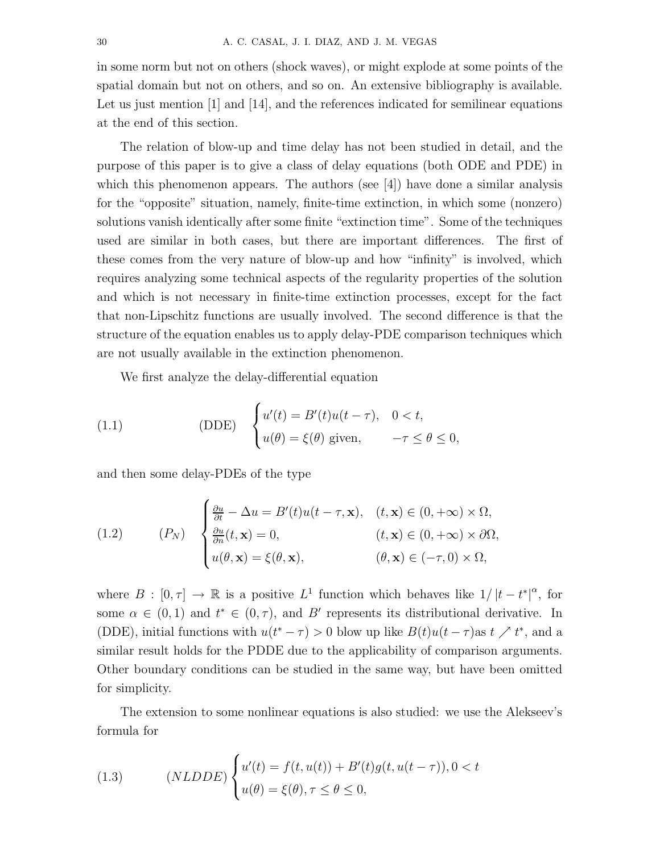in some norm but not on others (shock waves), or might explode at some points of the spatial domain but not on others, and so on. An extensive bibliography is available. Let us just mention [1] and [14], and the references indicated for semilinear equations at the end of this section.

The relation of blow-up and time delay has not been studied in detail, and the purpose of this paper is to give a class of delay equations (both ODE and PDE) in which this phenomenon appears. The authors (see  $[4]$ ) have done a similar analysis for the "opposite" situation, namely, finite-time extinction, in which some (nonzero) solutions vanish identically after some finite "extinction time". Some of the techniques used are similar in both cases, but there are important differences. The first of these comes from the very nature of blow-up and how "infinity" is involved, which requires analyzing some technical aspects of the regularity properties of the solution and which is not necessary in finite-time extinction processes, except for the fact that non-Lipschitz functions are usually involved. The second difference is that the structure of the equation enables us to apply delay-PDE comparison techniques which are not usually available in the extinction phenomenon.

We first analyze the delay-differential equation

(1.1) 
$$
\text{(DDE)} \quad \begin{cases} u'(t) = B'(t)u(t-\tau), & 0 < t, \\ u(\theta) = \xi(\theta) \text{ given}, & -\tau \le \theta \le 0, \end{cases}
$$

and then some delay-PDEs of the type

(1.2) 
$$
(P_N) \quad \begin{cases} \frac{\partial u}{\partial t} - \Delta u = B'(t)u(t-\tau, \mathbf{x}), & (t, \mathbf{x}) \in (0, +\infty) \times \Omega, \\ \frac{\partial u}{\partial n}(t, \mathbf{x}) = 0, & (t, \mathbf{x}) \in (0, +\infty) \times \partial\Omega, \\ u(\theta, \mathbf{x}) = \xi(\theta, \mathbf{x}), & (\theta, \mathbf{x}) \in (-\tau, 0) \times \Omega, \end{cases}
$$

where  $B : [0, \tau] \to \mathbb{R}$  is a positive  $L^1$  function which behaves like  $1/|t-t^*|^{\alpha}$ , for some  $\alpha \in (0,1)$  and  $t^* \in (0,\tau)$ , and B' represents its distributional derivative. In (DDE), initial functions with  $u(t^* - \tau) > 0$  blow up like  $B(t)u(t - \tau)$  as  $t \nearrow t^*$ , and a similar result holds for the PDDE due to the applicability of comparison arguments. Other boundary conditions can be studied in the same way, but have been omitted for simplicity.

The extension to some nonlinear equations is also studied: we use the Alekseev's formula for

(1.3) 
$$
(NLDDE)\begin{cases}u'(t) = f(t, u(t)) + B'(t)g(t, u(t-\tau)), 0 < t\\u(\theta) = \xi(\theta), \tau \le \theta \le 0,\end{cases}
$$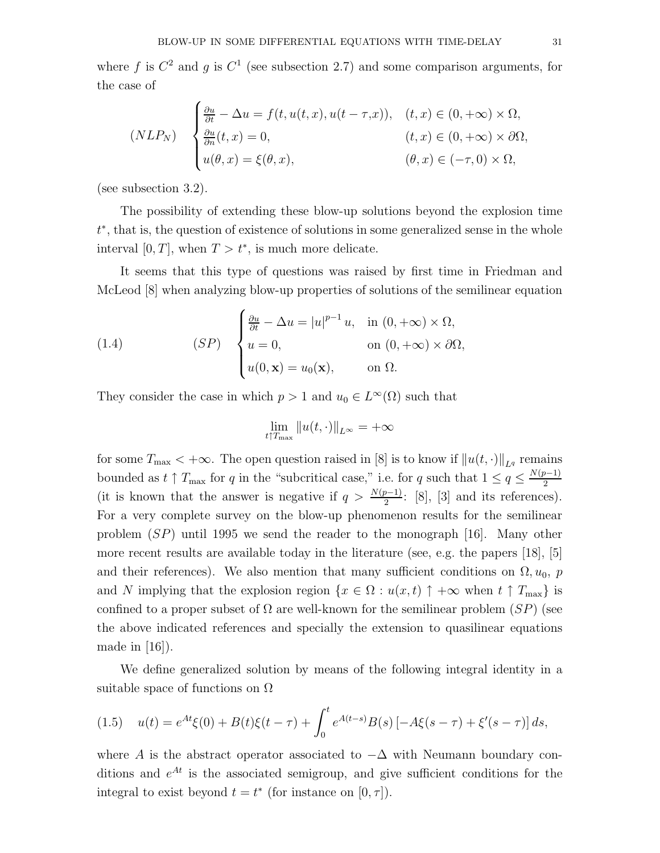where f is  $C^2$  and g is  $C^1$  (see subsection 2.7) and some comparison arguments, for the case of

$$
(NLP_N) \quad \begin{cases} \frac{\partial u}{\partial t} - \Delta u = f(t, u(t, x), u(t - \tau, x)), & (t, x) \in (0, +\infty) \times \Omega, \\ \frac{\partial u}{\partial n}(t, x) = 0, & (t, x) \in (0, +\infty) \times \partial\Omega, \\ u(\theta, x) = \xi(\theta, x), & (\theta, x) \in (-\tau, 0) \times \Omega, \end{cases}
$$

(see subsection 3.2).

The possibility of extending these blow-up solutions beyond the explosion time t ∗ , that is, the question of existence of solutions in some generalized sense in the whole interval [0, T], when  $T > t^*$ , is much more delicate.

It seems that this type of questions was raised by first time in Friedman and McLeod [8] when analyzing blow-up properties of solutions of the semilinear equation

(1.4) 
$$
(SP) \begin{cases} \frac{\partial u}{\partial t} - \Delta u = |u|^{p-1} u, & \text{in } (0, +\infty) \times \Omega, \\ u = 0, & \text{on } (0, +\infty) \times \partial\Omega, \\ u(0, \mathbf{x}) = u_0(\mathbf{x}), & \text{on } \Omega. \end{cases}
$$

They consider the case in which  $p > 1$  and  $u_0 \in L^{\infty}(\Omega)$  such that

$$
\lim_{t\uparrow T_{\max}}\|u(t,\cdot)\|_{L^\infty}=+\infty
$$

for some  $T_{\text{max}} < +\infty$ . The open question raised in [8] is to know if  $||u(t, \cdot)||_{L^q}$  remains bounded as  $t \uparrow T_{\text{max}}$  for q in the "subcritical case," i.e. for q such that  $1 \le q \le \frac{N(p-1)}{2}$ 2 (it is known that the answer is negative if  $q > \frac{N(p-1)}{2}$ : [8], [3] and its references). For a very complete survey on the blow-up phenomenon results for the semilinear problem  $(SP)$  until 1995 we send the reader to the monograph [16]. Many other more recent results are available today in the literature (see, e.g. the papers [18], [5] and their references). We also mention that many sufficient conditions on  $\Omega$ ,  $u_0$ , p and N implying that the explosion region  $\{x \in \Omega : u(x, t) \uparrow +\infty \text{ when } t \uparrow T_{\text{max}}\}\$ is confined to a proper subset of  $\Omega$  are well-known for the semilinear problem  $(SP)$  (see the above indicated references and specially the extension to quasilinear equations made in  $|16|$ ).

We define generalized solution by means of the following integral identity in a suitable space of functions on  $\Omega$ 

$$
(1.5) \quad u(t) = e^{At}\xi(0) + B(t)\xi(t-\tau) + \int_0^t e^{A(t-s)}B(s) \left[ -A\xi(s-\tau) + \xi'(s-\tau) \right] ds,
$$

where A is the abstract operator associated to  $-\Delta$  with Neumann boundary conditions and  $e^{At}$  is the associated semigroup, and give sufficient conditions for the integral to exist beyond  $t = t^*$  (for instance on  $[0, \tau]$ ).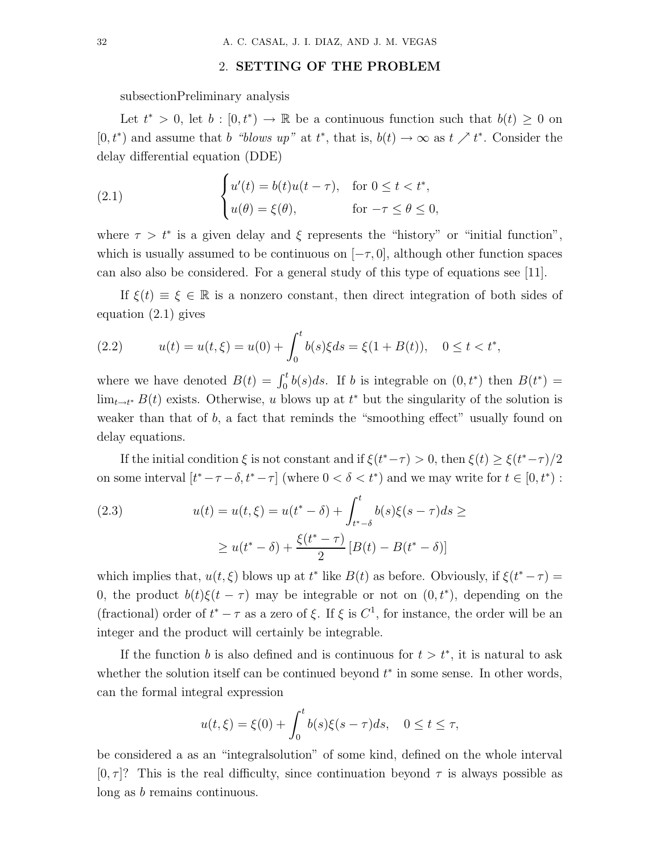# 2. SETTING OF THE PROBLEM

subsectionPreliminary analysis

Let  $t^* > 0$ , let  $b : [0, t^*) \to \mathbb{R}$  be a continuous function such that  $b(t) \geq 0$  on  $[0, t^*)$  and assume that b "blows up" at  $t^*$ , that is,  $b(t) \to \infty$  as  $t \nearrow t^*$ . Consider the delay differential equation (DDE)

(2.1) 
$$
\begin{cases} u'(t) = b(t)u(t-\tau), & \text{for } 0 \le t < t^*, \\ u(\theta) = \xi(\theta), & \text{for } -\tau \le \theta \le 0, \end{cases}
$$

where  $\tau > t^*$  is a given delay and  $\xi$  represents the "history" or "initial function", which is usually assumed to be continuous on  $[-\tau, 0]$ , although other function spaces can also also be considered. For a general study of this type of equations see [11].

If  $\xi(t) \equiv \xi \in \mathbb{R}$  is a nonzero constant, then direct integration of both sides of equation (2.1) gives

(2.2) 
$$
u(t) = u(t, \xi) = u(0) + \int_0^t b(s)\xi ds = \xi(1 + B(t)), \quad 0 \le t < t^*,
$$

where we have denoted  $B(t) = \int_0^t b(s)ds$ . If b is integrable on  $(0, t^*)$  then  $B(t^*)$  $\lim_{t \to t^*} B(t)$  exists. Otherwise, u blows up at  $t^*$  but the singularity of the solution is weaker than that of  $b$ , a fact that reminds the "smoothing effect" usually found on delay equations.

If the initial condition  $\xi$  is not constant and if  $\xi(t^*-\tau) > 0$ , then  $\xi(t) \geq \xi(t^*-\tau)/2$ on some interval  $[t^* - \tau - \delta, t^* - \tau]$  (where  $0 < \delta < t^*$ ) and we may write for  $t \in [0, t^*)$ :

(2.3) 
$$
u(t) = u(t, \xi) = u(t^* - \delta) + \int_{t^* - \delta}^{t} b(s)\xi(s - \tau)ds \ge
$$

$$
\ge u(t^* - \delta) + \frac{\xi(t^* - \tau)}{2} [B(t) - B(t^* - \delta)]
$$

which implies that,  $u(t,\xi)$  blows up at  $t^*$  like  $B(t)$  as before. Obviously, if  $\xi(t^*-\tau)$ 0, the product  $b(t)\xi(t-\tau)$  may be integrable or not on  $(0, t^*)$ , depending on the (fractional) order of  $t^* - \tau$  as a zero of  $\xi$ . If  $\xi$  is  $C^1$ , for instance, the order will be an integer and the product will certainly be integrable.

If the function b is also defined and is continuous for  $t > t^*$ , it is natural to ask whether the solution itself can be continued beyond  $t^*$  in some sense. In other words, can the formal integral expression

$$
u(t,\xi) = \xi(0) + \int_0^t b(s)\xi(s-\tau)ds, \quad 0 \le t \le \tau,
$$

be considered a as an "integralsolution" of some kind, defined on the whole interval  $[0, \tau]$ ? This is the real difficulty, since continuation beyond  $\tau$  is always possible as long as b remains continuous.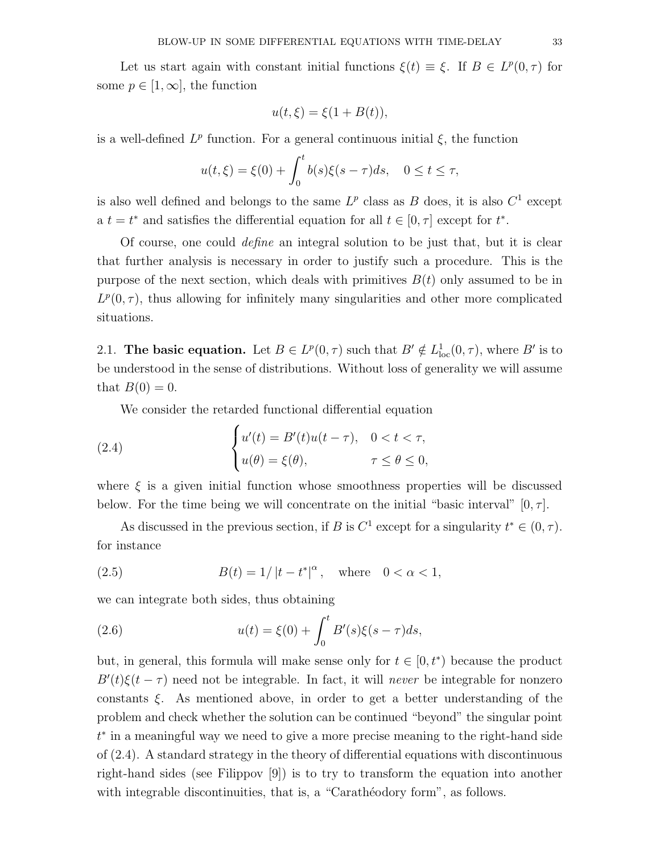Let us start again with constant initial functions  $\xi(t) \equiv \xi$ . If  $B \in L^p(0, \tau)$  for some  $p \in [1,\infty]$ , the function

$$
u(t,\xi) = \xi(1 + B(t)),
$$

is a well-defined  $L^p$  function. For a general continuous initial  $\xi$ , the function

$$
u(t,\xi) = \xi(0) + \int_0^t b(s)\xi(s-\tau)ds, \quad 0 \le t \le \tau,
$$

is also well defined and belongs to the same  $L^p$  class as B does, it is also  $C^1$  except a  $t = t^*$  and satisfies the differential equation for all  $t \in [0, \tau]$  except for  $t^*$ .

Of course, one could define an integral solution to be just that, but it is clear that further analysis is necessary in order to justify such a procedure. This is the purpose of the next section, which deals with primitives  $B(t)$  only assumed to be in  $L^p(0,\tau)$ , thus allowing for infinitely many singularities and other more complicated situations.

2.1. The basic equation. Let  $B \in L^p(0, \tau)$  such that  $B' \notin L^1_{loc}(0, \tau)$ , where  $B'$  is to be understood in the sense of distributions. Without loss of generality we will assume that  $B(0) = 0$ .

We consider the retarded functional differential equation

(2.4) 
$$
\begin{cases} u'(t) = B'(t)u(t-\tau), & 0 < t < \tau, \\ u(\theta) = \xi(\theta), & \tau \le \theta \le 0, \end{cases}
$$

where  $\xi$  is a given initial function whose smoothness properties will be discussed below. For the time being we will concentrate on the initial "basic interval"  $[0, \tau]$ .

As discussed in the previous section, if B is  $C^1$  except for a singularity  $t^* \in (0, \tau)$ . for instance

(2.5) 
$$
B(t) = 1/|t - t^*|^{\alpha}, \text{ where } 0 < \alpha < 1,
$$

we can integrate both sides, thus obtaining

(2.6) 
$$
u(t) = \xi(0) + \int_0^t B'(s)\xi(s-\tau)ds,
$$

but, in general, this formula will make sense only for  $t \in [0, t^*)$  because the product  $B'(t)\xi(t-\tau)$  need not be integrable. In fact, it will *never* be integrable for nonzero constants  $\xi$ . As mentioned above, in order to get a better understanding of the problem and check whether the solution can be continued "beyond" the singular point t ∗ in a meaningful way we need to give a more precise meaning to the right-hand side of (2.4). A standard strategy in the theory of differential equations with discontinuous right-hand sides (see Filippov [9]) is to try to transform the equation into another with integrable discontinuities, that is, a "Caratheodory form", as follows.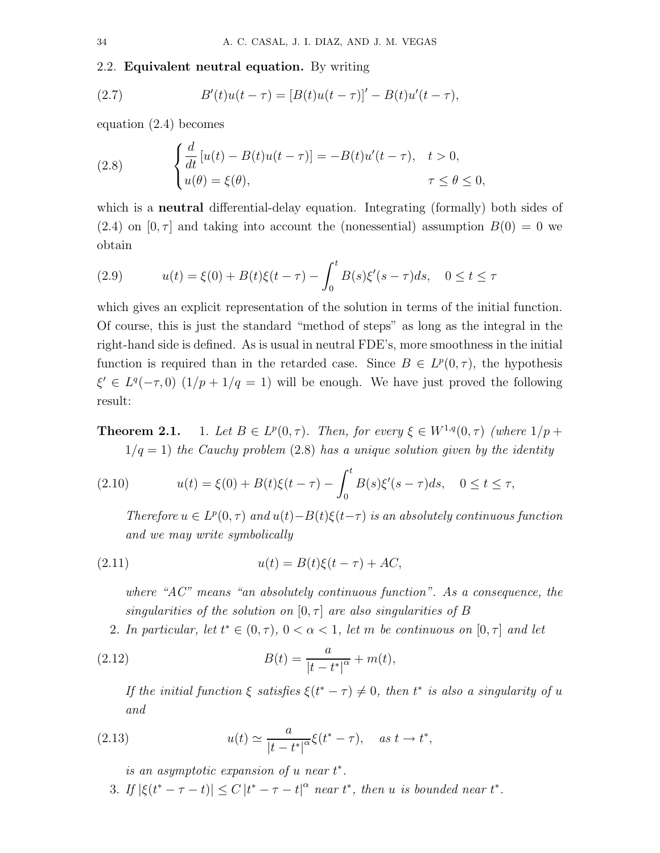#### 2.2. Equivalent neutral equation. By writing

(2.7) 
$$
B'(t)u(t-\tau) = [B(t)u(t-\tau)]' - B(t)u'(t-\tau),
$$

equation (2.4) becomes

(2.8) 
$$
\begin{cases} \frac{d}{dt} [u(t) - B(t)u(t-\tau)] = -B(t)u'(t-\tau), & t > 0, \\ u(\theta) = \xi(\theta), & \tau \le \theta \le 0, \end{cases}
$$

which is a **neutral** differential-delay equation. Integrating (formally) both sides of  $(2.4)$  on  $[0, \tau]$  and taking into account the (nonessential) assumption  $B(0) = 0$  we obtain

(2.9) 
$$
u(t) = \xi(0) + B(t)\xi(t-\tau) - \int_0^t B(s)\xi'(s-\tau)ds, \quad 0 \le t \le \tau
$$

which gives an explicit representation of the solution in terms of the initial function. Of course, this is just the standard "method of steps" as long as the integral in the right-hand side is defined. As is usual in neutral FDE's, more smoothness in the initial function is required than in the retarded case. Since  $B \in L^p(0, \tau)$ , the hypothesis  $\xi' \in L^q(-\tau,0)$   $(1/p+1/q=1)$  will be enough. We have just proved the following result:

Theorem 2.1.  $p(0, \tau)$ . Then, for every  $\xi \in W^{1,q}(0, \tau)$  (where  $1/p +$  $1/q = 1$ ) the Cauchy problem (2.8) has a unique solution given by the identity

(2.10) 
$$
u(t) = \xi(0) + B(t)\xi(t-\tau) - \int_0^t B(s)\xi'(s-\tau)ds, \quad 0 \le t \le \tau,
$$

Therefore  $u \in L^p(0, \tau)$  and  $u(t) - B(t)\xi(t-\tau)$  is an absolutely continuous function and we may write symbolically

(2.11) 
$$
u(t) = B(t)\xi(t-\tau) + AC,
$$

where " $AC$ " means "an absolutely continuous function". As a consequence, the singularities of the solution on  $[0, \tau]$  are also singularities of B

2. In particular, let  $t^* \in (0, \tau)$ ,  $0 < \alpha < 1$ , let m be continuous on  $[0, \tau]$  and let

(2.12) 
$$
B(t) = \frac{a}{|t - t^*|^{\alpha}} + m(t),
$$

If the initial function  $\xi$  satisfies  $\xi(t^* - \tau) \neq 0$ , then  $t^*$  is also a singularity of u and

(2.13) 
$$
u(t) \simeq \frac{a}{|t - t^*|^\alpha} \xi(t^* - \tau), \quad as \ t \to t^*,
$$

is an asymptotic expansion of  $u$  near  $t^*$ .

3. If  $|\xi(t^* - \tau - t)| \leq C |t^* - \tau - t|^{\alpha}$  near  $t^*$ , then u is bounded near  $t^*$ .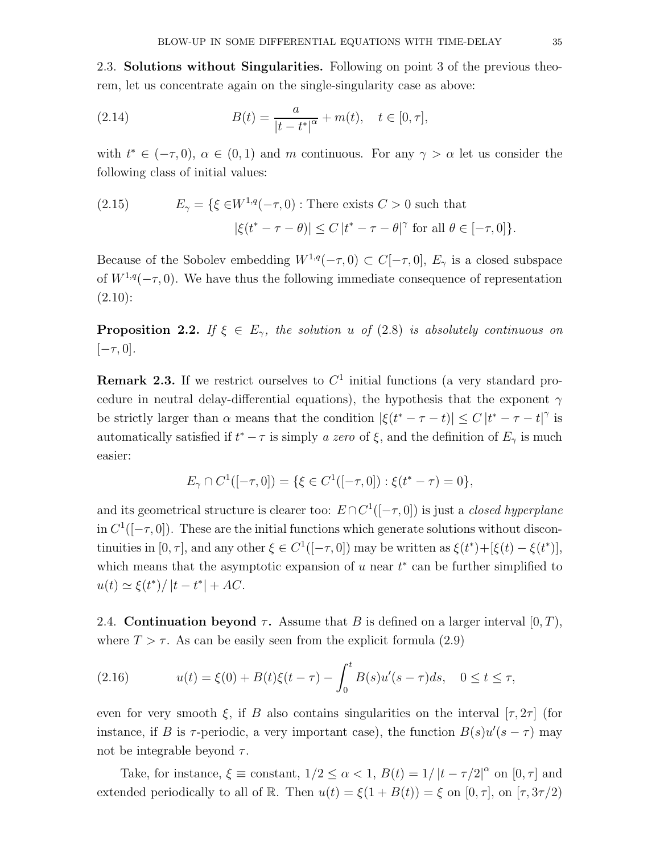2.3. Solutions without Singularities. Following on point 3 of the previous theorem, let us concentrate again on the single-singularity case as above:

(2.14) 
$$
B(t) = \frac{a}{|t - t^*|^{\alpha}} + m(t), \quad t \in [0, \tau],
$$

with  $t^* \in (-\tau, 0)$ ,  $\alpha \in (0, 1)$  and m continuous. For any  $\gamma > \alpha$  let us consider the following class of initial values:

(2.15) 
$$
E_{\gamma} = \{ \xi \in W^{1,q}(-\tau,0) : \text{There exists } C > 0 \text{ such that}
$$

$$
|\xi(t^* - \tau - \theta)| \le C |t^* - \tau - \theta|^{\gamma} \text{ for all } \theta \in [-\tau,0] \}.
$$

Because of the Sobolev embedding  $W^{1,q}(-\tau,0) \subset C[-\tau,0], E_{\gamma}$  is a closed subspace of  $W^{1,q}(-\tau, 0)$ . We have thus the following immediate consequence of representation  $(2.10):$ 

**Proposition 2.2.** If  $\xi \in E_{\gamma}$ , the solution u of (2.8) is absolutely continuous on  $[-\tau, 0].$ 

**Remark 2.3.** If we restrict ourselves to  $C<sup>1</sup>$  initial functions (a very standard procedure in neutral delay-differential equations), the hypothesis that the exponent  $\gamma$ be strictly larger than  $\alpha$  means that the condition  $|\xi(t^* - \tau - t)| \leq C |t^* - \tau - t|^{\gamma}$  is automatically satisfied if  $t^* - \tau$  is simply a zero of  $\xi$ , and the definition of  $E_\gamma$  is much easier:

$$
E_{\gamma} \cap C^{1}([-\tau,0]) = \{ \xi \in C^{1}([-\tau,0]) : \xi(t^{*}-\tau) = 0 \},
$$

and its geometrical structure is clearer too:  $E \cap C^1([- \tau, 0])$  is just a *closed hyperplane* in  $C^1([-\tau,0])$ . These are the initial functions which generate solutions without discontinuities in  $[0, \tau]$ , and any other  $\xi \in C^1([- \tau, 0])$  may be written as  $\xi(t^*) + [\xi(t) - \xi(t^*)]$ , which means that the asymptotic expansion of  $u$  near  $t^*$  can be further simplified to  $u(t) \simeq \xi(t^*) / |t - t^*| + AC.$ 

2.4. Continuation beyond  $\tau$ . Assume that B is defined on a larger interval  $[0, T)$ , where  $T > \tau$ . As can be easily seen from the explicit formula (2.9)

(2.16) 
$$
u(t) = \xi(0) + B(t)\xi(t-\tau) - \int_0^t B(s)u'(s-\tau)ds, \quad 0 \le t \le \tau,
$$

even for very smooth  $\xi$ , if B also contains singularities on the interval  $[\tau, 2\tau]$  (for instance, if B is  $\tau$ -periodic, a very important case), the function  $B(s)u'(s-\tau)$  may not be integrable beyond  $\tau$ .

Take, for instance,  $\xi \equiv$  constant,  $1/2 \leq \alpha < 1$ ,  $B(t) = 1/|t - \tau/2|^{\alpha}$  on  $[0, \tau]$  and extended periodically to all of R. Then  $u(t) = \xi(1 + B(t)) = \xi$  on  $[0, \tau]$ , on  $[\tau, 3\tau/2)$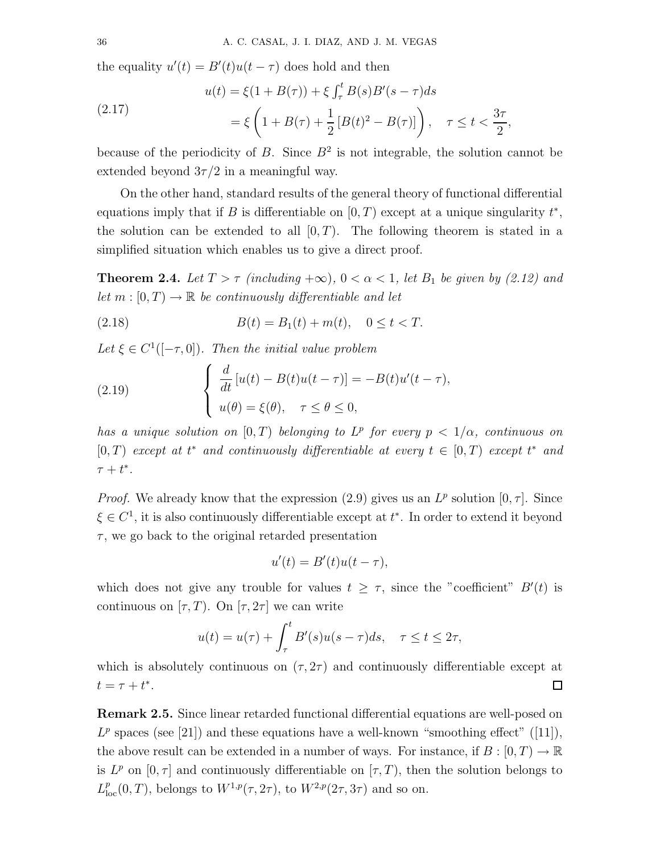the equality  $u'(t) = B'(t)u(t - \tau)$  does hold and then

(2.17) 
$$
u(t) = \xi(1 + B(\tau)) + \xi \int_{\tau}^{t} B(s)B'(s - \tau)ds
$$

$$
= \xi \left(1 + B(\tau) + \frac{1}{2}[B(t)^{2} - B(\tau)]\right), \quad \tau \le t < \frac{3\tau}{2},
$$

because of the periodicity of B. Since  $B^2$  is not integrable, the solution cannot be extended beyond  $3\tau/2$  in a meaningful way.

On the other hand, standard results of the general theory of functional differential equations imply that if B is differentiable on  $[0, T)$  except at a unique singularity  $t^*$ , the solution can be extended to all  $[0, T)$ . The following theorem is stated in a simplified situation which enables us to give a direct proof.

**Theorem 2.4.** Let  $T > \tau$  (including  $+\infty$ ),  $0 < \alpha < 1$ , let  $B_1$  be given by (2.12) and let  $m : [0, T) \to \mathbb{R}$  be continuously differentiable and let

(2.18) 
$$
B(t) = B_1(t) + m(t), \quad 0 \le t < T.
$$

Let  $\xi \in C^1([-\tau,0])$ . Then the initial value problem

(2.19) 
$$
\begin{cases} \frac{d}{dt} [u(t) - B(t)u(t-\tau)] = -B(t)u'(t-\tau), \\ u(\theta) = \xi(\theta), \quad \tau \le \theta \le 0, \end{cases}
$$

has a unique solution on  $[0, T)$  belonging to  $L^p$  for every  $p < 1/\alpha$ , continuous on [0, T] except at  $t^*$  and continuously differentiable at every  $t \in [0, T)$  except  $t^*$  and  $\tau + t^*$ .

*Proof.* We already know that the expression (2.9) gives us an  $L^p$  solution  $[0, \tau]$ . Since  $\xi \in C^1$ , it is also continuously differentiable except at  $t^*$ . In order to extend it beyond  $\tau$ , we go back to the original retarded presentation

$$
u'(t) = B'(t)u(t - \tau),
$$

which does not give any trouble for values  $t \geq \tau$ , since the "coefficient"  $B'(t)$  is continuous on  $[\tau, T)$ . On  $[\tau, 2\tau]$  we can write

$$
u(t) = u(\tau) + \int_{\tau}^{t} B'(s)u(s-\tau)ds, \quad \tau \le t \le 2\tau,
$$

which is absolutely continuous on  $(\tau, 2\tau)$  and continuously differentiable except at  $t = \tau + t^*$ .  $\Box$ 

Remark 2.5. Since linear retarded functional differential equations are well-posed on  $L^p$  spaces (see [21]) and these equations have a well-known "smoothing effect" ([11]), the above result can be extended in a number of ways. For instance, if  $B : [0, T) \to \mathbb{R}$ is  $L^p$  on  $[0, \tau]$  and continuously differentiable on  $[\tau, T)$ , then the solution belongs to  $L_{\text{loc}}^p(0,T)$ , belongs to  $W^{1,p}(\tau,2\tau)$ , to  $W^{2,p}(2\tau,3\tau)$  and so on.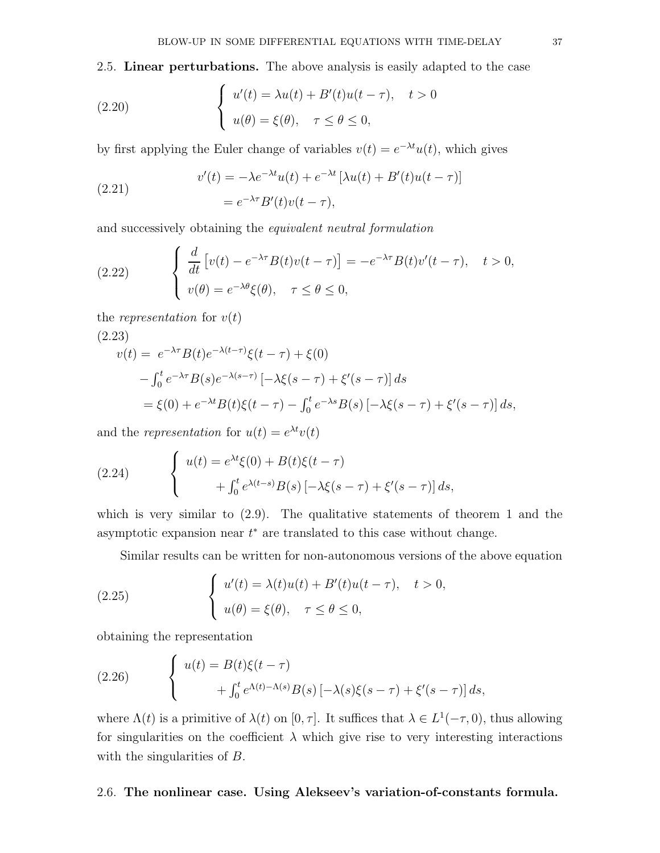2.5. Linear perturbations. The above analysis is easily adapted to the case

(2.20) 
$$
\begin{cases} u'(t) = \lambda u(t) + B'(t)u(t-\tau), & t > 0 \\ u(\theta) = \xi(\theta), & \tau \le \theta \le 0, \end{cases}
$$

by first applying the Euler change of variables  $v(t) = e^{-\lambda t}u(t)$ , which gives

(2.21) 
$$
v'(t) = -\lambda e^{-\lambda t} u(t) + e^{-\lambda t} \left[ \lambda u(t) + B'(t) u(t - \tau) \right]
$$

$$
= e^{-\lambda \tau} B'(t) v(t - \tau),
$$

and successively obtaining the equivalent neutral formulation

(2.22) 
$$
\begin{cases} \frac{d}{dt} \left[ v(t) - e^{-\lambda \tau} B(t) v(t-\tau) \right] = -e^{-\lambda \tau} B(t) v'(t-\tau), & t > 0, \\ v(\theta) = e^{-\lambda \theta} \xi(\theta), & \tau \le \theta \le 0, \end{cases}
$$

the representation for  $v(t)$ 

(2.23)  
\n
$$
v(t) = e^{-\lambda \tau} B(t) e^{-\lambda (t-\tau)} \xi(t-\tau) + \xi(0)
$$
\n
$$
- \int_0^t e^{-\lambda \tau} B(s) e^{-\lambda (s-\tau)} \left[ -\lambda \xi(s-\tau) + \xi'(s-\tau) \right] ds
$$
\n
$$
= \xi(0) + e^{-\lambda t} B(t) \xi(t-\tau) - \int_0^t e^{-\lambda s} B(s) \left[ -\lambda \xi(s-\tau) + \xi'(s-\tau) \right] ds,
$$

and the *representation* for  $u(t) = e^{\lambda t}v(t)$ 

(2.24) 
$$
\begin{cases} u(t) = e^{\lambda t} \xi(0) + B(t) \xi(t-\tau) \\ + \int_0^t e^{\lambda(t-s)} B(s) \left[ -\lambda \xi(s-\tau) + \xi'(s-\tau) \right] ds, \end{cases}
$$

which is very similar to (2.9). The qualitative statements of theorem 1 and the asymptotic expansion near  $t^*$  are translated to this case without change.

Similar results can be written for non-autonomous versions of the above equation

(2.25) 
$$
\begin{cases} u'(t) = \lambda(t)u(t) + B'(t)u(t-\tau), & t > 0, \\ u(\theta) = \xi(\theta), & \tau \le \theta \le 0, \end{cases}
$$

obtaining the representation

(2.26) 
$$
\begin{cases} u(t) = B(t)\xi(t-\tau) \\ \qquad + \int_0^t e^{\Lambda(t)-\Lambda(s)}B(s)\left[-\lambda(s)\xi(s-\tau) + \xi'(s-\tau)\right]ds, \end{cases}
$$

where  $\Lambda(t)$  is a primitive of  $\lambda(t)$  on [0,  $\tau$ ]. It suffices that  $\lambda \in L^1(-\tau, 0)$ , thus allowing for singularities on the coefficient  $\lambda$  which give rise to very interesting interactions with the singularities of B.

#### 2.6. The nonlinear case. Using Alekseev's variation-of-constants formula.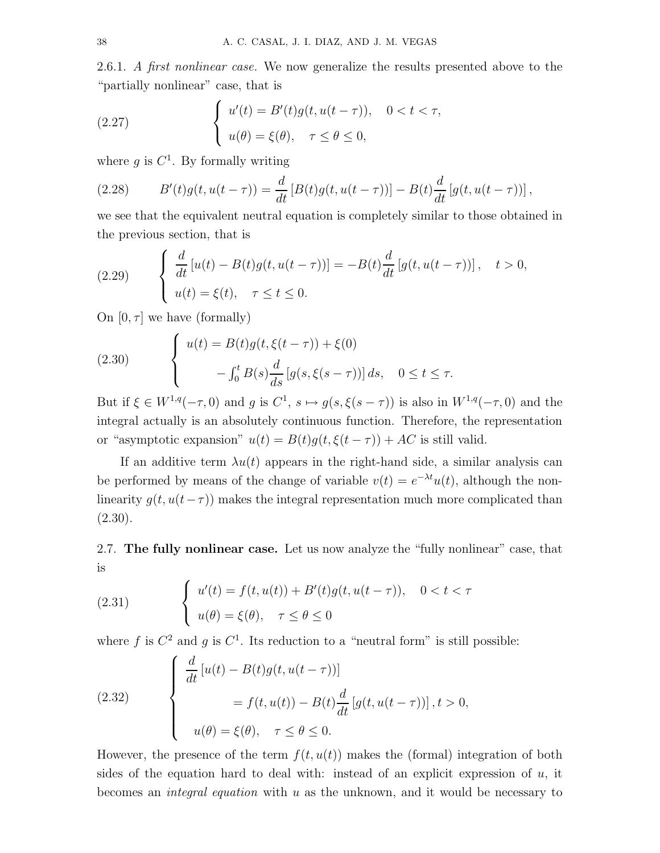2.6.1. A first nonlinear case. We now generalize the results presented above to the "partially nonlinear" case, that is

(2.27) 
$$
\begin{cases} u'(t) = B'(t)g(t, u(t-\tau)), & 0 < t < \tau, \\ u(\theta) = \xi(\theta), & \tau \le \theta \le 0, \end{cases}
$$

where  $g$  is  $C^1$ . By formally writing

(2.28) 
$$
B'(t)g(t, u(t-\tau)) = \frac{d}{dt}[B(t)g(t, u(t-\tau))] - B(t)\frac{d}{dt}[g(t, u(t-\tau))],
$$

we see that the equivalent neutral equation is completely similar to those obtained in the previous section, that is

(2.29) 
$$
\begin{cases} \frac{d}{dt} [u(t) - B(t)g(t, u(t-\tau))] = -B(t)\frac{d}{dt} [g(t, u(t-\tau))], & t > 0, \\ u(t) = \xi(t), & \tau \le t \le 0. \end{cases}
$$

On  $[0, \tau]$  we have (formally)

(2.30) 
$$
\begin{cases} u(t) = B(t)g(t,\xi(t-\tau)) + \xi(0) \\ -\int_0^t B(s)\frac{d}{ds}[g(s,\xi(s-\tau))] ds, \quad 0 \le t \le \tau. \end{cases}
$$

But if  $\xi \in W^{1,q}(-\tau,0)$  and g is  $C^1$ ,  $s \mapsto g(s,\xi(s-\tau))$  is also in  $W^{1,q}(-\tau,0)$  and the integral actually is an absolutely continuous function. Therefore, the representation or "asymptotic expansion"  $u(t) = B(t)g(t,\xi(t-\tau)) + AC$  is still valid.

If an additive term  $\lambda u(t)$  appears in the right-hand side, a similar analysis can be performed by means of the change of variable  $v(t) = e^{-\lambda t}u(t)$ , although the nonlinearity  $g(t, u(t-\tau))$  makes the integral representation much more complicated than  $(2.30).$ 

2.7. The fully nonlinear case. Let us now analyze the "fully nonlinear" case, that is

(2.31) 
$$
\begin{cases} u'(t) = f(t, u(t)) + B'(t)g(t, u(t-\tau)), & 0 < t < \tau \\ u(\theta) = \xi(\theta), & \tau \le \theta \le 0 \end{cases}
$$

where f is  $C^2$  and g is  $C^1$ . Its reduction to a "neutral form" is still possible:

(2.32) 
$$
\begin{cases} \frac{d}{dt} [u(t) - B(t)g(t, u(t-\tau))] \\ = f(t, u(t)) - B(t)\frac{d}{dt} [g(t, u(t-\tau))] , t > 0, \\ u(\theta) = \xi(\theta), \quad \tau \le \theta \le 0. \end{cases}
$$

However, the presence of the term  $f(t, u(t))$  makes the (formal) integration of both sides of the equation hard to deal with: instead of an explicit expression of  $u$ , it becomes an integral equation with u as the unknown, and it would be necessary to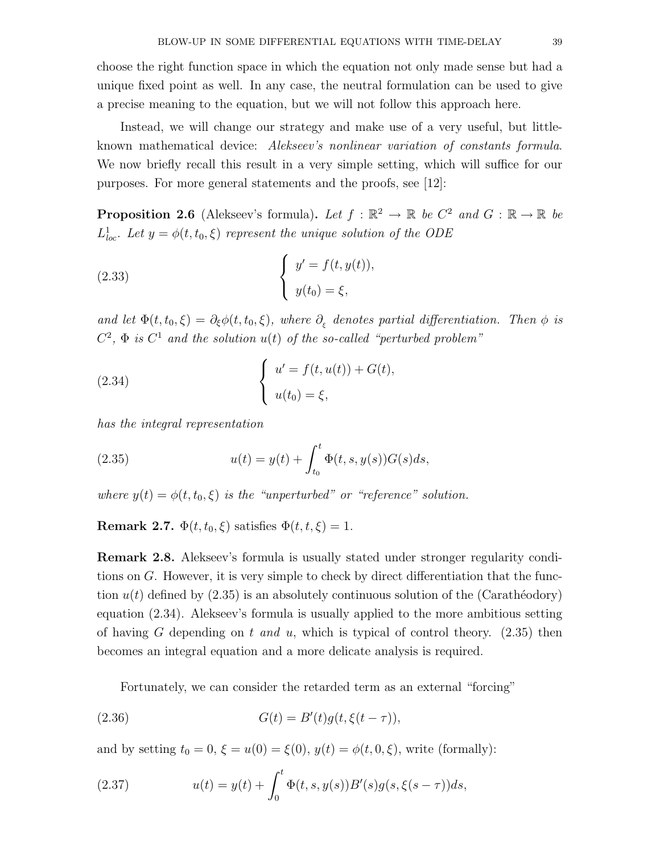choose the right function space in which the equation not only made sense but had a unique fixed point as well. In any case, the neutral formulation can be used to give a precise meaning to the equation, but we will not follow this approach here.

Instead, we will change our strategy and make use of a very useful, but littleknown mathematical device: Alekseev's nonlinear variation of constants formula. We now briefly recall this result in a very simple setting, which will suffice for our purposes. For more general statements and the proofs, see [12]:

**Proposition 2.6** (Alekseev's formula). Let  $f : \mathbb{R}^2 \to \mathbb{R}$  be  $C^2$  and  $G : \mathbb{R} \to \mathbb{R}$  be  $L^1_{loc}$ . Let  $y = \phi(t, t_0, \xi)$  represent the unique solution of the ODE

(2.33) 
$$
\begin{cases} y' = f(t, y(t)), \\ y(t_0) = \xi, \end{cases}
$$

and let  $\Phi(t, t_0, \xi) = \partial_{\xi} \phi(t, t_0, \xi)$ , where  $\partial_{\xi}$  denotes partial differentiation. Then  $\phi$  is  $C^2$ ,  $\Phi$  is  $C^1$  and the solution  $u(t)$  of the so-called "perturbed problem"

(2.34) 
$$
\begin{cases} u' = f(t, u(t)) + G(t), \\ u(t_0) = \xi, \end{cases}
$$

has the integral representation

(2.35) 
$$
u(t) = y(t) + \int_{t_0}^t \Phi(t, s, y(s)) G(s) ds,
$$

where  $y(t) = \phi(t, t_0, \xi)$  is the "unperturbed" or "reference" solution.

Remark 2.7.  $\Phi(t, t_0, \xi)$  satisfies  $\Phi(t, t, \xi) = 1$ .

Remark 2.8. Alekseev's formula is usually stated under stronger regularity conditions on  $G$ . However, it is very simple to check by direct differentiation that the function  $u(t)$  defined by (2.35) is an absolutely continuous solution of the (Carathéodory) equation (2.34). Alekseev's formula is usually applied to the more ambitious setting of having G depending on t and u, which is typical of control theory.  $(2.35)$  then becomes an integral equation and a more delicate analysis is required.

Fortunately, we can consider the retarded term as an external "forcing"

(2.36) 
$$
G(t) = B'(t)g(t, \xi(t-\tau)),
$$

and by setting  $t_0 = 0$ ,  $\xi = u(0) = \xi(0)$ ,  $y(t) = \phi(t, 0, \xi)$ , write (formally):

(2.37) 
$$
u(t) = y(t) + \int_0^t \Phi(t, s, y(s)) B'(s) g(s, \xi(s - \tau)) ds,
$$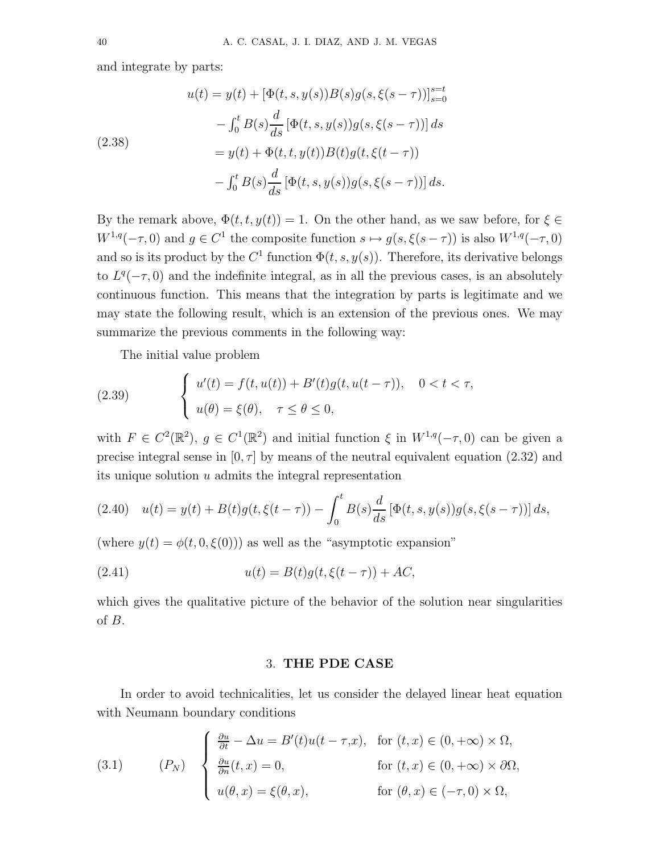and integrate by parts:

(2.38)  
\n
$$
u(t) = y(t) + [\Phi(t, s, y(s))B(s)g(s, \xi(s - \tau))]_{s=0}^{s=t}
$$
\n
$$
- \int_0^t B(s) \frac{d}{ds} [\Phi(t, s, y(s))g(s, \xi(s - \tau))] ds
$$
\n
$$
= y(t) + \Phi(t, t, y(t))B(t)g(t, \xi(t - \tau))
$$
\n
$$
- \int_0^t B(s) \frac{d}{ds} [\Phi(t, s, y(s))g(s, \xi(s - \tau))] ds.
$$

By the remark above,  $\Phi(t, t, y(t)) = 1$ . On the other hand, as we saw before, for  $\xi \in$  $W^{1,q}(-\tau,0)$  and  $g \in C^1$  the composite function  $s \mapsto g(s,\xi(s-\tau))$  is also  $W^{1,q}(-\tau,0)$ and so is its product by the  $C^1$  function  $\Phi(t, s, y(s))$ . Therefore, its derivative belongs to  $L^{q}(-\tau,0)$  and the indefinite integral, as in all the previous cases, is an absolutely continuous function. This means that the integration by parts is legitimate and we may state the following result, which is an extension of the previous ones. We may summarize the previous comments in the following way:

The initial value problem

(2.39) 
$$
\begin{cases} u'(t) = f(t, u(t)) + B'(t)g(t, u(t-\tau)), & 0 < t < \tau, \\ u(\theta) = \xi(\theta), & \tau \le \theta \le 0, \end{cases}
$$

with  $F \in C^2(\mathbb{R}^2)$ ,  $g \in C^1(\mathbb{R}^2)$  and initial function  $\xi$  in  $W^{1,q}(-\tau,0)$  can be given a precise integral sense in  $[0, \tau]$  by means of the neutral equivalent equation (2.32) and its unique solution u admits the integral representation

$$
(2.40) \quad u(t) = y(t) + B(t)g(t, \xi(t-\tau)) - \int_0^t B(s)\frac{d}{ds}[\Phi(t, s, y(s))g(s, \xi(s-\tau))]\,ds,
$$

(where  $y(t) = \phi(t, 0, \xi(0))$ ) as well as the "asymptotic expansion"

(2.41) 
$$
u(t) = B(t)g(t, \xi(t-\tau)) + AC,
$$

which gives the qualitative picture of the behavior of the solution near singularities of B.

## 3. THE PDE CASE

In order to avoid technicalities, let us consider the delayed linear heat equation with Neumann boundary conditions

(3.1) 
$$
(P_N) \quad \begin{cases} \frac{\partial u}{\partial t} - \Delta u = B'(t)u(t - \tau, x), & \text{for } (t, x) \in (0, +\infty) \times \Omega, \\ \frac{\partial u}{\partial n}(t, x) = 0, & \text{for } (t, x) \in (0, +\infty) \times \partial\Omega, \\ u(\theta, x) = \xi(\theta, x), & \text{for } (\theta, x) \in (-\tau, 0) \times \Omega, \end{cases}
$$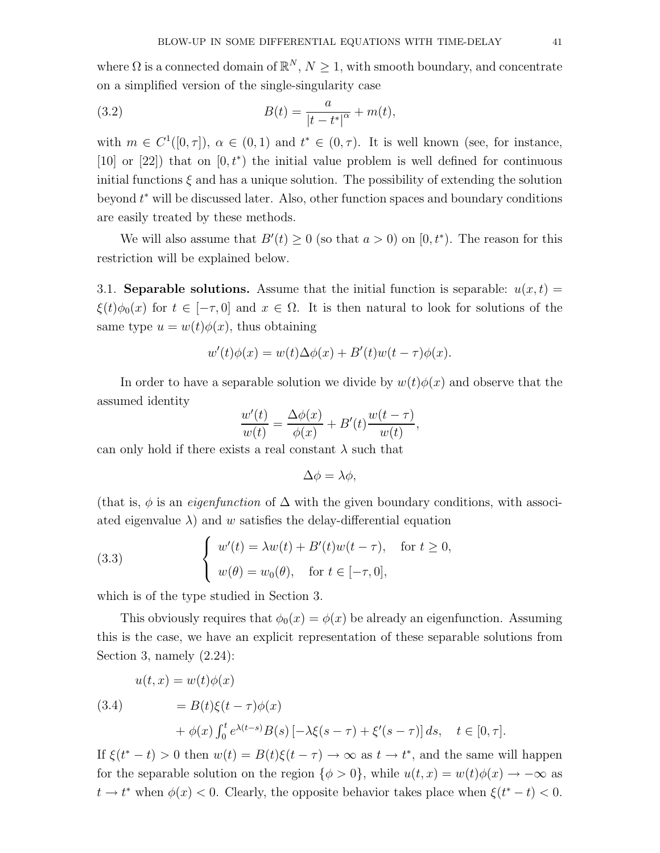where  $\Omega$  is a connected domain of  $\mathbb{R}^N$ ,  $N \geq 1$ , with smooth boundary, and concentrate on a simplified version of the single-singularity case

(3.2) 
$$
B(t) = \frac{a}{|t - t^*|^{\alpha}} + m(t),
$$

with  $m \in C^1([0,\tau])$ ,  $\alpha \in (0,1)$  and  $t^* \in (0,\tau)$ . It is well known (see, for instance, [10] or [22]) that on  $[0, t^*)$  the initial value problem is well defined for continuous initial functions  $\xi$  and has a unique solution. The possibility of extending the solution beyond t <sup>∗</sup> will be discussed later. Also, other function spaces and boundary conditions are easily treated by these methods.

We will also assume that  $B'(t) \geq 0$  (so that  $a > 0$ ) on  $[0, t^*$ ). The reason for this restriction will be explained below.

3.1. Separable solutions. Assume that the initial function is separable:  $u(x, t) =$  $\xi(t)\phi_0(x)$  for  $t \in [-\tau, 0]$  and  $x \in \Omega$ . It is then natural to look for solutions of the same type  $u = w(t)\phi(x)$ , thus obtaining

$$
w'(t)\phi(x) = w(t)\Delta\phi(x) + B'(t)w(t-\tau)\phi(x).
$$

In order to have a separable solution we divide by  $w(t)\phi(x)$  and observe that the assumed identity

$$
\frac{w'(t)}{w(t)} = \frac{\Delta \phi(x)}{\phi(x)} + B'(t)\frac{w(t-\tau)}{w(t)},
$$

can only hold if there exists a real constant  $\lambda$  such that

$$
\Delta \phi = \lambda \phi,
$$

(that is,  $\phi$  is an *eigenfunction* of  $\Delta$  with the given boundary conditions, with associated eigenvalue  $\lambda$ ) and w satisfies the delay-differential equation

(3.3) 
$$
\begin{cases} w'(t) = \lambda w(t) + B'(t)w(t-\tau), & \text{for } t \ge 0, \\ w(\theta) = w_0(\theta), & \text{for } t \in [-\tau, 0], \end{cases}
$$

which is of the type studied in Section 3.

This obviously requires that  $\phi_0(x) = \phi(x)$  be already an eigenfunction. Assuming this is the case, we have an explicit representation of these separable solutions from Section 3, namely (2.24):

(3.4)  
\n
$$
u(t,x) = w(t)\phi(x)
$$
\n
$$
= B(t)\xi(t-\tau)\phi(x)
$$
\n
$$
+ \phi(x)\int_0^t e^{\lambda(t-s)}B(s)\left[-\lambda\xi(s-\tau) + \xi'(s-\tau)\right]ds, \quad t \in [0,\tau].
$$

If  $\xi(t^* - t) > 0$  then  $w(t) = B(t)\xi(t - \tau) \to \infty$  as  $t \to t^*$ , and the same will happen for the separable solution on the region  $\{\phi > 0\}$ , while  $u(t, x) = w(t)\phi(x) \rightarrow -\infty$  as  $t \to t^*$  when  $\phi(x) < 0$ . Clearly, the opposite behavior takes place when  $\xi(t^* - t) < 0$ .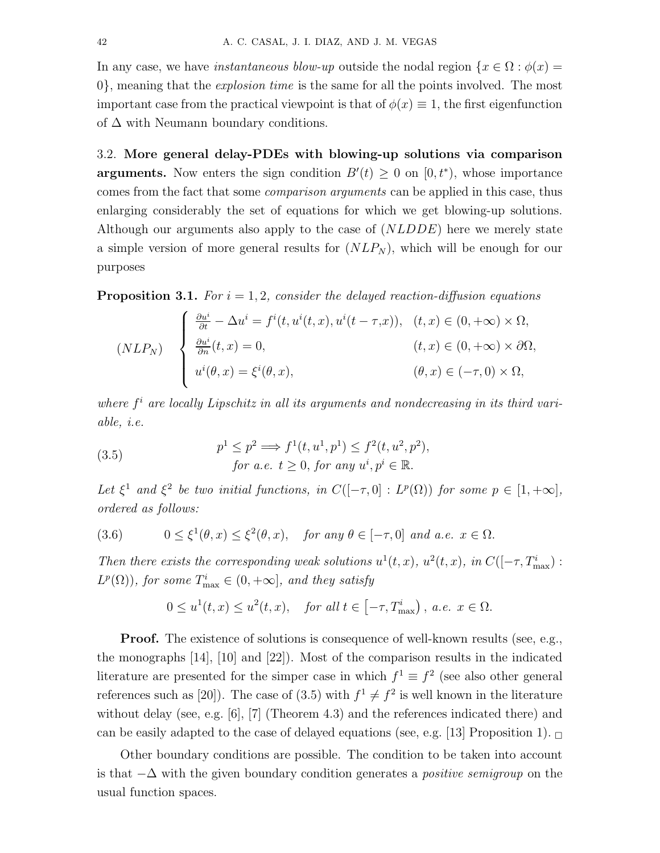In any case, we have *instantaneous blow-up* outside the nodal region  $\{x \in \Omega : \phi(x) =$ 0}, meaning that the explosion time is the same for all the points involved. The most important case from the practical viewpoint is that of  $\phi(x) \equiv 1$ , the first eigenfunction of  $\Delta$  with Neumann boundary conditions.

3.2. More general delay-PDEs with blowing-up solutions via comparison **arguments.** Now enters the sign condition  $B'(t) \geq 0$  on  $[0, t^*)$ , whose importance comes from the fact that some comparison arguments can be applied in this case, thus enlarging considerably the set of equations for which we get blowing-up solutions. Although our arguments also apply to the case of  $(NLDDE)$  here we merely state a simple version of more general results for  $(NLP<sub>N</sub>)$ , which will be enough for our purposes

**Proposition 3.1.** For  $i = 1, 2$ , consider the delayed reaction-diffusion equations

$$
(NLP_N) \quad \begin{cases} \n\frac{\partial u^i}{\partial t} - \Delta u^i = f^i(t, u^i(t, x), u^i(t - \tau, x)), & (t, x) \in (0, +\infty) \times \Omega, \\
\frac{\partial u^i}{\partial n}(t, x) = 0, & (t, x) \in (0, +\infty) \times \partial\Omega, \\
u^i(\theta, x) = \xi^i(\theta, x), & (\theta, x) \in (-\tau, 0) \times \Omega,\n\end{cases}
$$

where  $f<sup>i</sup>$  are locally Lipschitz in all its arguments and nondecreasing in its third variable, i.e.

(3.5) 
$$
p^{1} \leq p^{2} \Longrightarrow f^{1}(t, u^{1}, p^{1}) \leq f^{2}(t, u^{2}, p^{2}),
$$
  
for a.e.  $t \geq 0$ , for any  $u^{i}, p^{i} \in \mathbb{R}$ .

Let  $\xi^1$  and  $\xi^2$  be two initial functions, in  $C([-\tau,0]: L^p(\Omega))$  for some  $p \in [1,+\infty]$ , ordered as follows:

(3.6) 
$$
0 \le \xi^1(\theta, x) \le \xi^2(\theta, x), \text{ for any } \theta \in [-\tau, 0] \text{ and a.e. } x \in \Omega.
$$

Then there exists the corresponding weak solutions  $u^1(t, x)$ ,  $u^2(t, x)$ , in  $C([- \tau, T_{\text{max}}^i)$ :  $L^p(\Omega)$ , for some  $T_{\text{max}}^i \in (0, +\infty]$ , and they satisfy

$$
0 \le u^1(t, x) \le u^2(t, x), \quad \text{for all } t \in [-\tau, T^i_{\text{max}}), \ a.e. \ x \in \Omega.
$$

Proof. The existence of solutions is consequence of well-known results (see, e.g., the monographs [14], [10] and [22]). Most of the comparison results in the indicated literature are presented for the simper case in which  $f^1 \equiv f^2$  (see also other general references such as [20]). The case of (3.5) with  $f^1 \neq f^2$  is well known in the literature without delay (see, e.g. [6], [7] (Theorem 4.3) and the references indicated there) and can be easily adapted to the case of delayed equations (see, e.g. [13] Proposition 1).  $\Box$ 

Other boundary conditions are possible. The condition to be taken into account is that  $-\Delta$  with the given boundary condition generates a *positive semigroup* on the usual function spaces.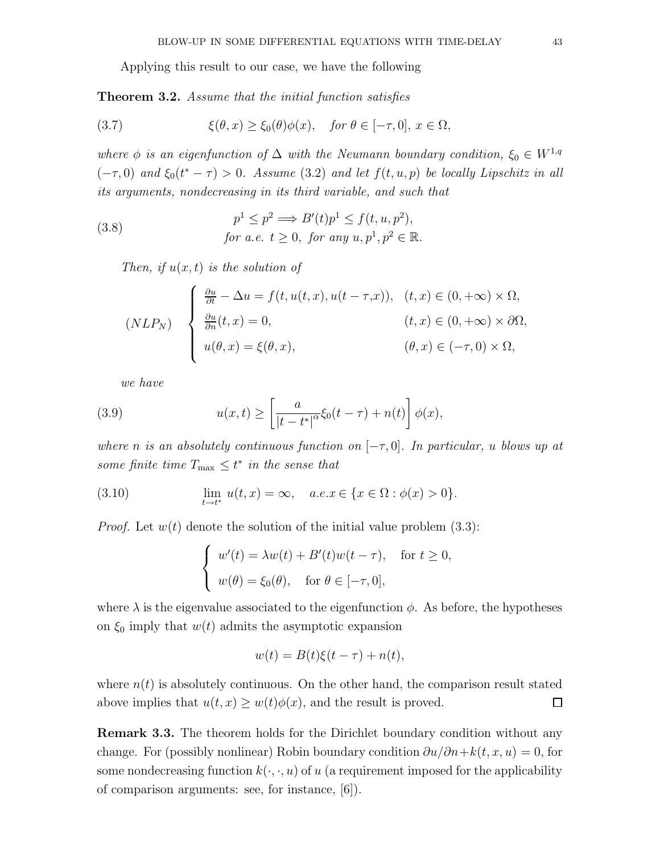Applying this result to our case, we have the following

**Theorem 3.2.** Assume that the initial function satisfies

(3.7) 
$$
\xi(\theta, x) \ge \xi_0(\theta)\phi(x), \quad \text{for } \theta \in [-\tau, 0], \ x \in \Omega,
$$

where  $\phi$  is an eigenfunction of  $\Delta$  with the Neumann boundary condition,  $\xi_0 \in W^{1,q}$  $(-\tau,0)$  and  $\xi_0(t^*-\tau) > 0$ . Assume (3.2) and let  $f(t,u,p)$  be locally Lipschitz in all its arguments, nondecreasing in its third variable, and such that

(3.8) 
$$
p^{1} \leq p^{2} \Longrightarrow B'(t)p^{1} \leq f(t, u, p^{2}),
$$
  
for a.e.  $t \geq 0$ , for any  $u, p^{1}, p^{2} \in \mathbb{R}$ .

Then, if  $u(x, t)$  is the solution of

$$
(NLP_N) \quad \begin{cases} \n\frac{\partial u}{\partial t} - \Delta u = f(t, u(t, x), u(t - \tau, x)), & (t, x) \in (0, +\infty) \times \Omega, \\
\frac{\partial u}{\partial n}(t, x) = 0, & (t, x) \in (0, +\infty) \times \partial\Omega, \\
u(\theta, x) = \xi(\theta, x), & (\theta, x) \in (-\tau, 0) \times \Omega,\n\end{cases}
$$

we have

(3.9) 
$$
u(x,t) \geq \left[\frac{a}{|t-t^*|^{\alpha}}\xi_0(t-\tau) + n(t)\right]\phi(x),
$$

where n is an absolutely continuous function on  $[-\tau, 0]$ . In particular, u blows up at some finite time  $T_{\text{max}} \leq t^*$  in the sense that

(3.10) 
$$
\lim_{t \to t^*} u(t, x) = \infty, \quad a.e. x \in \{x \in \Omega : \phi(x) > 0\}.
$$

*Proof.* Let  $w(t)$  denote the solution of the initial value problem  $(3.3)$ :

$$
\begin{cases}\nw'(t) = \lambda w(t) + B'(t)w(t-\tau), & \text{for } t \ge 0, \\
w(\theta) = \xi_0(\theta), & \text{for } \theta \in [-\tau, 0],\n\end{cases}
$$

where  $\lambda$  is the eigenvalue associated to the eigenfunction  $\phi$ . As before, the hypotheses on  $\xi_0$  imply that  $w(t)$  admits the asymptotic expansion

$$
w(t) = B(t)\xi(t-\tau) + n(t),
$$

where  $n(t)$  is absolutely continuous. On the other hand, the comparison result stated above implies that  $u(t, x) \geq w(t)\phi(x)$ , and the result is proved.  $\Box$ 

**Remark 3.3.** The theorem holds for the Dirichlet boundary condition without any change. For (possibly nonlinear) Robin boundary condition  $\partial u/\partial n+k(t, x, u)=0$ , for some nondecreasing function  $k(\cdot, \cdot, u)$  of u (a requirement imposed for the applicability of comparison arguments: see, for instance, [6]).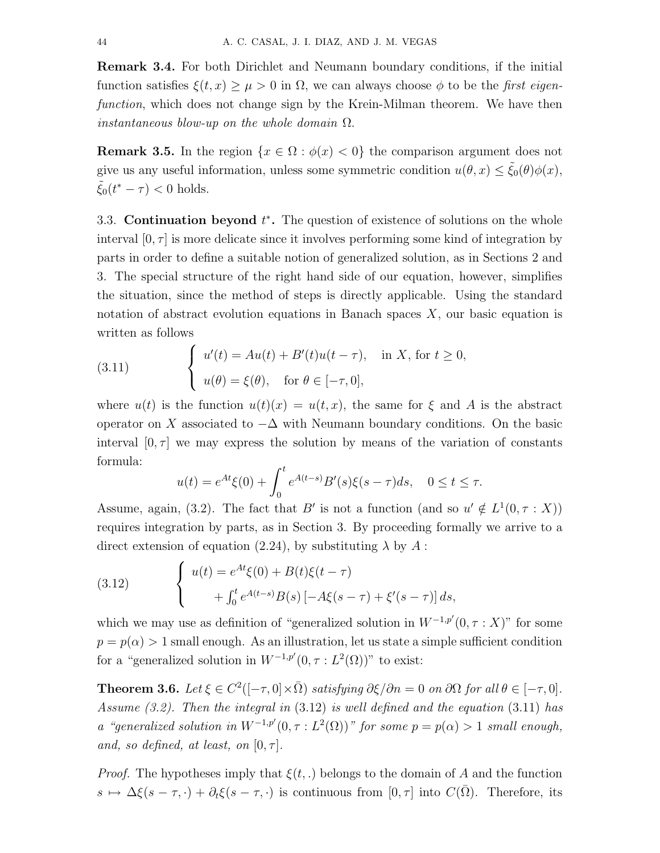Remark 3.4. For both Dirichlet and Neumann boundary conditions, if the initial function satisfies  $\xi(t, x) \geq \mu > 0$  in  $\Omega$ , we can always choose  $\phi$  to be the first eigenfunction, which does not change sign by the Krein-Milman theorem. We have then instantaneous blow-up on the whole domain  $\Omega$ .

**Remark 3.5.** In the region  $\{x \in \Omega : \phi(x) < 0\}$  the comparison argument does not give us any useful information, unless some symmetric condition  $u(\theta, x) \leq \tilde{\xi}_0(\theta)\phi(x)$ ,  $\tilde{\xi}_0(t^* - \tau) < 0$  holds.

3.3. Continuation beyond  $t^*$ . The question of existence of solutions on the whole interval  $[0, \tau]$  is more delicate since it involves performing some kind of integration by parts in order to define a suitable notion of generalized solution, as in Sections 2 and 3. The special structure of the right hand side of our equation, however, simplifies the situation, since the method of steps is directly applicable. Using the standard notation of abstract evolution equations in Banach spaces  $X$ , our basic equation is written as follows

(3.11) 
$$
\begin{cases} u'(t) = Au(t) + B'(t)u(t-\tau), & \text{in } X, \text{ for } t \ge 0, \\ u(\theta) = \xi(\theta), & \text{for } \theta \in [-\tau, 0], \end{cases}
$$

where  $u(t)$  is the function  $u(t)(x) = u(t, x)$ , the same for  $\xi$  and A is the abstract operator on X associated to  $-\Delta$  with Neumann boundary conditions. On the basic interval  $[0, \tau]$  we may express the solution by means of the variation of constants formula:

$$
u(t) = e^{At}\xi(0) + \int_0^t e^{A(t-s)}B'(s)\xi(s-\tau)ds, \quad 0 \le t \le \tau.
$$

Assume, again, (3.2). The fact that B' is not a function (and so  $u' \notin L^1(0, \tau : X)$ ) requires integration by parts, as in Section 3. By proceeding formally we arrive to a direct extension of equation (2.24), by substituting  $\lambda$  by  $A$ :

(3.12) 
$$
\begin{cases} u(t) = e^{At}\xi(0) + B(t)\xi(t-\tau) \\ + \int_0^t e^{A(t-s)}B(s) \left[ -A\xi(s-\tau) + \xi'(s-\tau) \right] ds, \end{cases}
$$

which we may use as definition of "generalized solution in  $W^{-1,p'}(0, \tau : X)$ " for some  $p = p(\alpha) > 1$  small enough. As an illustration, let us state a simple sufficient condition for a "generalized solution in  $W^{-1,p'}(0, \tau : L^2(\Omega))^n$  to exist:

**Theorem 3.6.** Let  $\xi \in C^2([-\tau,0] \times \overline{\Omega})$  satisfying  $\partial \xi / \partial n = 0$  on  $\partial \Omega$  for all  $\theta \in [-\tau,0]$ . Assume (3.2). Then the integral in (3.12) is well defined and the equation (3.11) has a "generalized solution in  $W^{-1,p'}(0,\tau:L^2(\Omega))$ " for some  $p=p(\alpha)>1$  small enough, and, so defined, at least, on  $[0, \tau]$ .

*Proof.* The hypotheses imply that  $\xi(t,.)$  belongs to the domain of A and the function  $s \mapsto \Delta \xi(s - \tau, \cdot) + \partial_t \xi(s - \tau, \cdot)$  is continuous from  $[0, \tau]$  into  $C(\overline{\Omega})$ . Therefore, its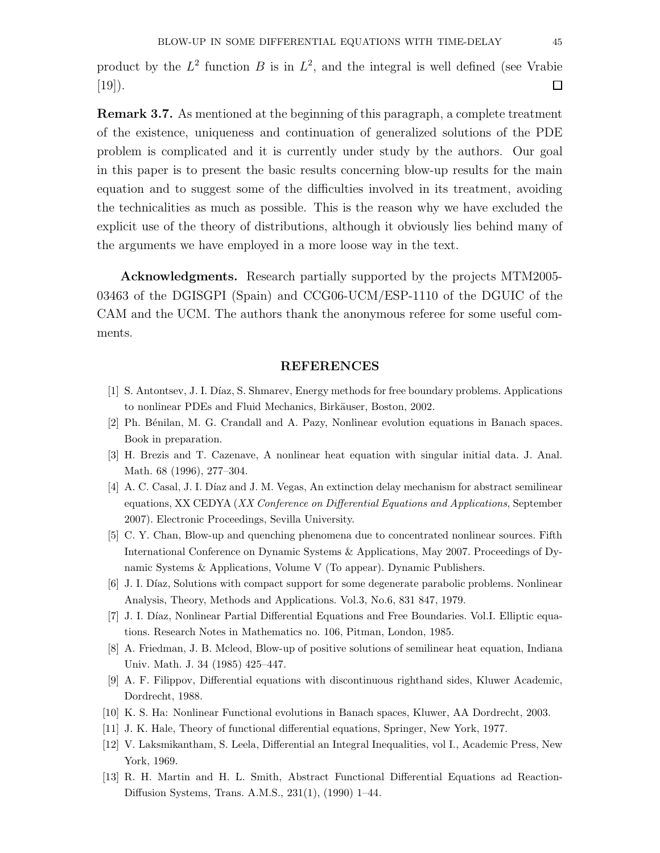product by the  $L^2$  function B is in  $L^2$ , and the integral is well defined (see Vrabie [19]).  $\Box$ 

Remark 3.7. As mentioned at the beginning of this paragraph, a complete treatment of the existence, uniqueness and continuation of generalized solutions of the PDE problem is complicated and it is currently under study by the authors. Our goal in this paper is to present the basic results concerning blow-up results for the main equation and to suggest some of the difficulties involved in its treatment, avoiding the technicalities as much as possible. This is the reason why we have excluded the explicit use of the theory of distributions, although it obviously lies behind many of the arguments we have employed in a more loose way in the text.

Acknowledgments. Research partially supported by the projects MTM2005- 03463 of the DGISGPI (Spain) and CCG06-UCM/ESP-1110 of the DGUIC of the CAM and the UCM. The authors thank the anonymous referee for some useful comments.

#### REFERENCES

- [1] S. Antontsev, J. I. Díaz, S. Shmarev, Energy methods for free boundary problems. Applications to nonlinear PDEs and Fluid Mechanics, Birkäuser, Boston, 2002.
- [2] Ph. Bénilan, M. G. Crandall and A. Pazy, Nonlinear evolution equations in Banach spaces. Book in preparation.
- [3] H. Brezis and T. Cazenave, A nonlinear heat equation with singular initial data. J. Anal. Math. 68 (1996), 277–304.
- [4] A. C. Casal, J. I. Díaz and J. M. Vegas, An extinction delay mechanism for abstract semilinear equations, XX CEDYA (XX Conference on Differential Equations and Applications, September 2007). Electronic Proceedings, Sevilla University.
- [5] C. Y. Chan, Blow-up and quenching phenomena due to concentrated nonlinear sources. Fifth International Conference on Dynamic Systems & Applications, May 2007. Proceedings of Dynamic Systems & Applications, Volume V (To appear). Dynamic Publishers.
- [6] J. I. Díaz, Solutions with compact support for some degenerate parabolic problems. Nonlinear Analysis, Theory, Methods and Applications. Vol.3, No.6, 831 847, 1979.
- [7] J. I. Díaz, Nonlinear Partial Differential Equations and Free Boundaries. Vol.I. Elliptic equations. Research Notes in Mathematics no. 106, Pitman, London, 1985.
- [8] A. Friedman, J. B. Mcleod, Blow-up of positive solutions of semilinear heat equation, Indiana Univ. Math. J. 34 (1985) 425–447.
- [9] A. F. Filippov, Differential equations with discontinuous righthand sides, Kluwer Academic, Dordrecht, 1988.
- [10] K. S. Ha: Nonlinear Functional evolutions in Banach spaces, Kluwer, AA Dordrecht, 2003.
- [11] J. K. Hale, Theory of functional differential equations, Springer, New York, 1977.
- [12] V. Laksmikantham, S. Leela, Differential an Integral Inequalities, vol I., Academic Press, New York, 1969.
- [13] R. H. Martin and H. L. Smith, Abstract Functional Differential Equations ad Reaction-Diffusion Systems, Trans. A.M.S., 231(1), (1990) 1–44.